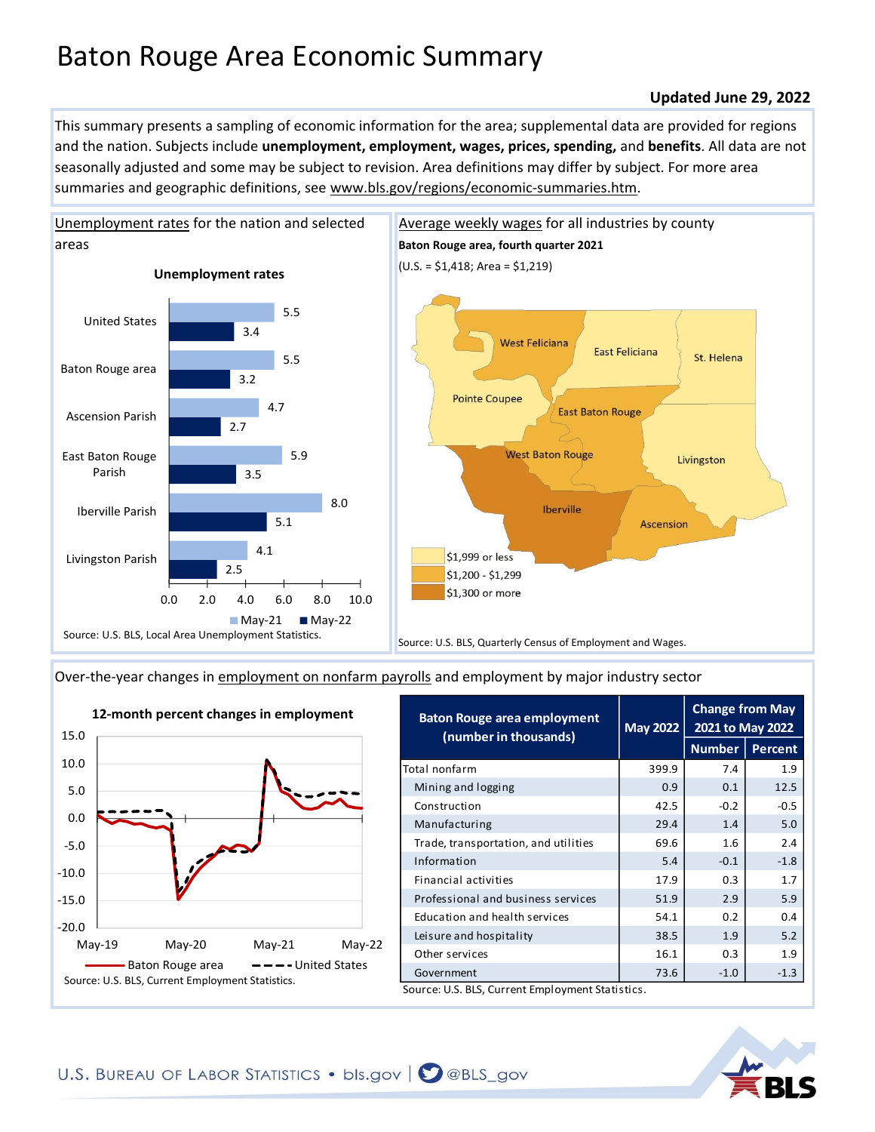# Baton Rouge Area Economic Summary

# **Updated June 29, 2022**

This summary presents a sampling of economic information for the area; supplemental data are provided for regions and the nation. Subjects include **unemployment, employment, wages, prices, spending,** and **benefits**. All data are not seasonally adjusted and some may be subject to revision. Area definitions may differ by subject. For more area summaries and geographic definitions, see www.bls.gov/regions/economic-summaries.htm.



[Over-the-year changes in employment on nonfarm payrolls](https://www.bls.gov/sae/) and employment by major industry sector



| <b>Baton Rouge area employment</b><br>(number in thousands) | <b>May 2022</b> | <b>Change from May</b><br>2021 to May 2022 |                |  |
|-------------------------------------------------------------|-----------------|--------------------------------------------|----------------|--|
|                                                             |                 | <b>Number</b>                              | <b>Percent</b> |  |
| Total nonfarm                                               | 399.9           | 7.4                                        | 1.9            |  |
| Mining and logging                                          | 0.9             | 0.1                                        | 12.5           |  |
| Construction                                                | 42.5            | $-0.2$                                     | $-0.5$         |  |
| Manufacturing                                               | 29.4            | 1.4                                        | 5.0            |  |
| Trade, transportation, and utilities                        | 69.6            | 1.6                                        | 2.4            |  |
| Information                                                 | 5.4             | $-0.1$                                     | $-1.8$         |  |
| Financial activities                                        | 17.9            | 0.3                                        | 1.7            |  |
| Professional and business services                          | 51.9            | 2.9                                        | 5.9            |  |
| Education and health services                               | 54.1            | 0.2                                        | 0.4            |  |
| Leisure and hospitality                                     | 38.5            | 1.9                                        | 5.2            |  |
| Other services                                              | 16.1            | 0.3                                        | 1.9            |  |
| Government                                                  | 73.6            | $-1.0$                                     | $-1.3$         |  |
| Source: U.S. BLS, Current Employment Statistics.            |                 |                                            |                |  |